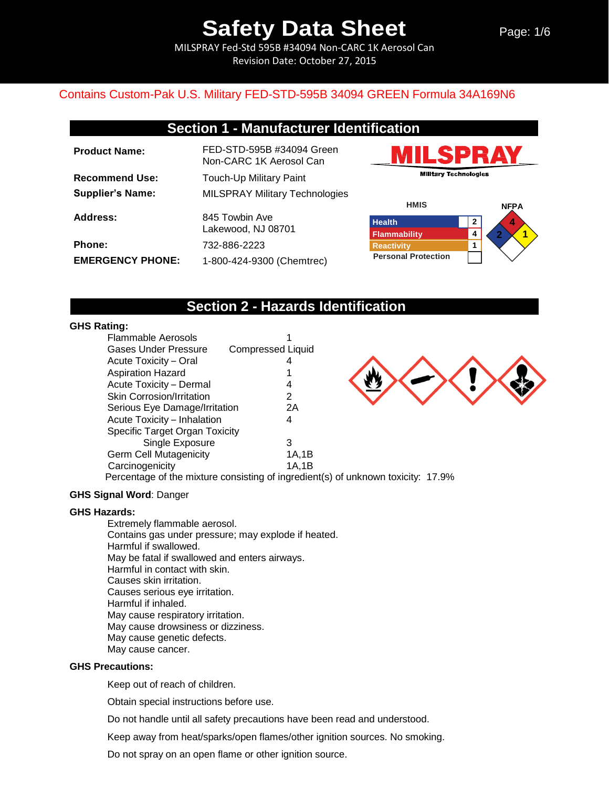MILSPRAY Fed-Std 595B #34094 Non-CARC 1K Aerosol Can Revision Date: October 27, 2015

## Contains Custom-Pak U.S. Military FED-STD-595B 34094 GREEN Formula 34A169N6

## **Section 1 - Manufacturer Identification**

| <b>Product Name:</b>    | FED-STD-595B #34094 Green<br>Non-CARC 1K Aerosol Can |
|-------------------------|------------------------------------------------------|
| <b>Recommend Use:</b>   | <b>Touch-Up Military Paint</b>                       |
| <b>Supplier's Name:</b> | <b>MILSPRAY Military Technologies</b>                |
| Address:                | 845 Towbin Ave<br>Lakewood, NJ 08701                 |
| <b>Phone:</b>           | 732-886-2223                                         |
| <b>EMERGENCY PHONE:</b> | 1-800-424-9300 (Chemtrec)                            |





## **Section 2 - Hazards Identification**

### **GHS Rating:**

| <b>Flammable Aerosols</b>             |                          |       |  |
|---------------------------------------|--------------------------|-------|--|
| <b>Gases Under Pressure</b>           | <b>Compressed Liquid</b> |       |  |
| Acute Toxicity - Oral                 |                          |       |  |
| <b>Aspiration Hazard</b>              |                          |       |  |
| Acute Toxicity - Dermal               |                          | 4     |  |
| <b>Skin Corrosion/Irritation</b>      |                          | 2     |  |
| Serious Eye Damage/Irritation         |                          | 2Α    |  |
| Acute Toxicity - Inhalation           |                          | 4     |  |
| <b>Specific Target Organ Toxicity</b> |                          |       |  |
| Single Exposure                       |                          | 3     |  |
| <b>Germ Cell Mutagenicity</b>         |                          | 1A,1B |  |
| Carcinogenicity                       |                          | 1A,1B |  |
|                                       |                          |       |  |



Percentage of the mixture consisting of ingredient(s) of unknown toxicity: 17.9%

### **GHS Signal Word**: Danger

### **GHS Hazards:**

Extremely flammable aerosol. Contains gas under pressure; may explode if heated. Harmful if swallowed. May be fatal if swallowed and enters airways. Harmful in contact with skin. Causes skin irritation. Causes serious eye irritation. Harmful if inhaled. May cause respiratory irritation. May cause drowsiness or dizziness. May cause genetic defects. May cause cancer.

### **GHS Precautions:**

Keep out of reach of children.

Obtain special instructions before use.

Do not handle until all safety precautions have been read and understood.

Keep away from heat/sparks/open flames/other ignition sources. No smoking.

Do not spray on an open flame or other ignition source.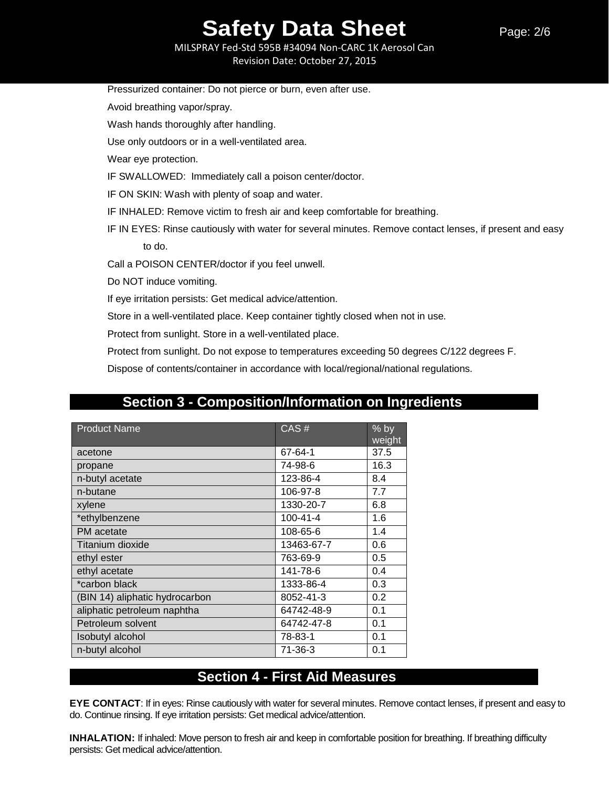MILSPRAY Fed-Std 595B #34094 Non-CARC 1K Aerosol Can Revision Date: October 27, 2015

| Pressurized container: Do not pierce or burn, even after use.                                           |
|---------------------------------------------------------------------------------------------------------|
| Avoid breathing vapor/spray.                                                                            |
| Wash hands thoroughly after handling.                                                                   |
| Use only outdoors or in a well-ventilated area.                                                         |
| Wear eye protection.                                                                                    |
| IF SWALLOWED: Immediately call a poison center/doctor.                                                  |
| IF ON SKIN: Wash with plenty of soap and water.                                                         |
| IF INHALED: Remove victim to fresh air and keep comfortable for breathing.                              |
| IF IN EYES: Rinse cautiously with water for several minutes. Remove contact lenses, if present and easy |
| to do.                                                                                                  |
| Call a POISON CENTER/doctor if you feel unwell.                                                         |
| Do NOT induce vomiting.                                                                                 |
| If eye irritation persists: Get medical advice/attention.                                               |
| Store in a well-ventilated place. Keep container tightly closed when not in use.                        |
| Protect from sunlight. Store in a well-ventilated place.                                                |
| Protect from sunlight. Do not expose to temperatures exceeding 50 degrees C/122 degrees F.              |
| Dispose of contents/container in accordance with local/regional/national regulations.                   |

## **Section 3 - Composition/Information on Ingredients**

| <b>Product Name</b>            | CAS#           | $%$ by<br>weight |
|--------------------------------|----------------|------------------|
| acetone                        | 67-64-1        | 37.5             |
| propane                        | 74-98-6        | 16.3             |
| n-butyl acetate                | 123-86-4       | 8.4              |
| n-butane                       | 106-97-8       | 7.7              |
| xylene                         | 1330-20-7      | 6.8              |
| *ethylbenzene                  | $100 - 41 - 4$ | 1.6              |
| PM acetate                     | 108-65-6       | 1.4              |
| Titanium dioxide               | 13463-67-7     | 0.6              |
| ethyl ester                    | 763-69-9       | 0.5              |
| ethyl acetate                  | 141-78-6       | 0.4              |
| *carbon black                  | 1333-86-4      | 0.3              |
| (BIN 14) aliphatic hydrocarbon | 8052-41-3      | 0.2              |
| aliphatic petroleum naphtha    | 64742-48-9     | 0.1              |
| Petroleum solvent              | 64742-47-8     | 0.1              |
| Isobutyl alcohol               | 78-83-1        | 0.1              |
| n-butyl alcohol                | 71-36-3        | 0.1              |

## **Section 4 - First Aid Measures**

**EYE CONTACT**: If in eyes: Rinse cautiously with water for several minutes. Remove contact lenses, if present and easy to do. Continue rinsing. If eye irritation persists: Get medical advice/attention.

**INHALATION:** If inhaled: Move person to fresh air and keep in comfortable position for breathing. If breathing difficulty persists: Get medical advice/attention.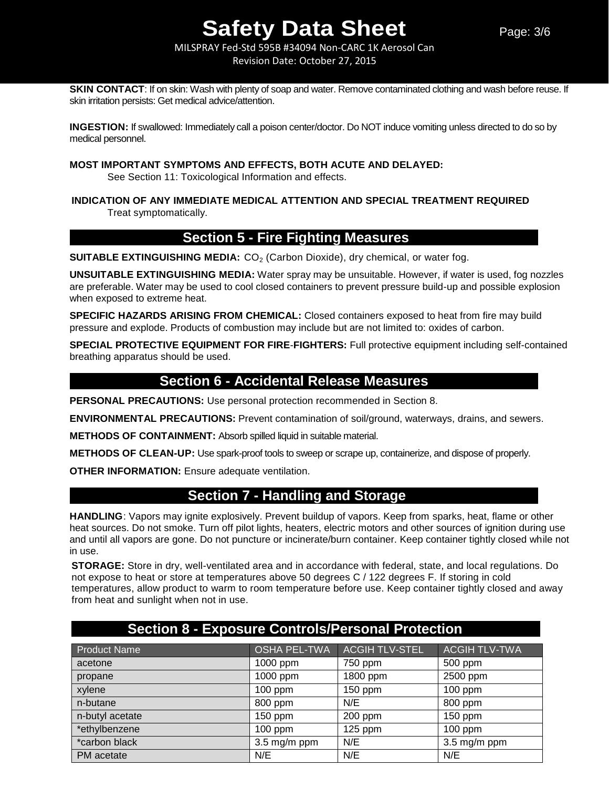MILSPRAY Fed-Std 595B #34094 Non-CARC 1K Aerosol Can Revision Date: October 27, 2015

**SKIN CONTACT:** If on skin: Wash with plenty of soap and water. Remove contaminated clothing and wash before reuse. If skin irritation persists: Get medical advice/attention.

**INGESTION:** If swallowed: Immediately call a poison center/doctor. Do NOT induce vomiting unless directed to do so by medical personnel.

### **MOST IMPORTANT SYMPTOMS AND EFFECTS, BOTH ACUTE AND DELAYED:**

See Section 11: Toxicological Information and effects.

## **INDICATION OF ANY IMMEDIATE MEDICAL ATTENTION AND SPECIAL TREATMENT REQUIRED** Treat symptomatically.

## **Section 5 - Fire Fighting Measures**

**SUITABLE EXTINGUISHING MEDIA:** CO<sub>2</sub> (Carbon Dioxide), dry chemical, or water fog.

**UNSUITABLE EXTINGUISHING MEDIA:** Water spray may be unsuitable. However, if water is used, fog nozzles are preferable. Water may be used to cool closed containers to prevent pressure build-up and possible explosion when exposed to extreme heat.

**SPECIFIC HAZARDS ARISING FROM CHEMICAL:** Closed containers exposed to heat from fire may build pressure and explode. Products of combustion may include but are not limited to: oxides of carbon.

**SPECIAL PROTECTIVE EQUIPMENT FOR FIRE**-**FIGHTERS:** Full protective equipment including self-contained breathing apparatus should be used.

## **Section 6 - Accidental Release Measures**

**PERSONAL PRECAUTIONS:** Use personal protection recommended in Section 8.

**ENVIRONMENTAL PRECAUTIONS:** Prevent contamination of soil/ground, waterways, drains, and sewers.

**METHODS OF CONTAINMENT:** Absorb spilled liquid in suitable material.

**METHODS OF CLEAN-UP:** Use spark-proof tools to sweep or scrape up, containerize, and dispose of properly.

**OTHER INFORMATION:** Ensure adequate ventilation.

## **Section 7 - Handling and Storage**

**HANDLING**: Vapors may ignite explosively. Prevent buildup of vapors. Keep from sparks, heat, flame or other heat sources. Do not smoke. Turn off pilot lights, heaters, electric motors and other sources of ignition during use and until all vapors are gone. Do not puncture or incinerate/burn container. Keep container tightly closed while not in use.

**STORAGE:** Store in dry, well-ventilated area and in accordance with federal, state, and local regulations. Do not expose to heat or store at temperatures above 50 degrees C / 122 degrees F. If storing in cold temperatures, allow product to warm to room temperature before use. Keep container tightly closed and away from heat and sunlight when not in use.

| <b>Section 8 - Exposure Controls/Personal Protection</b> |                     |                       |                           |
|----------------------------------------------------------|---------------------|-----------------------|---------------------------|
| <b>Product Name</b>                                      | <b>OSHA PEL-TWA</b> | <b>ACGIH TLV-STEL</b> | <b>ACGIH TLV-TWA</b>      |
| acetone                                                  | 1000 ppm            | 750 ppm               | 500 ppm                   |
| propane                                                  | 1000 ppm            | 1800 ppm              | 2500 ppm                  |
| xylene                                                   | $100$ ppm           | 150 ppm               | $100$ ppm                 |
| n-butane                                                 | 800 ppm             | N/E                   | 800 ppm                   |
| n-butyl acetate                                          | $150$ ppm           | $200$ ppm             | $150$ ppm                 |
| *ethylbenzene                                            | $100$ ppm           | $125$ ppm             | $100$ ppm                 |
| *carbon black                                            | 3.5 mg/m ppm        | N/E                   | $3.5 \,\mathrm{mg/m}$ ppm |
| PM acetate                                               | N/E                 | N/E                   | N/E                       |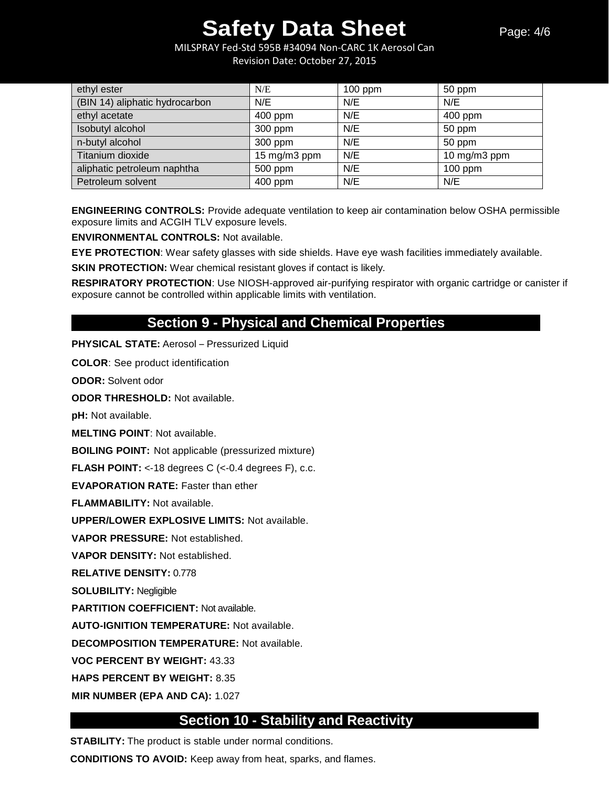MILSPRAY Fed-Std 595B #34094 Non-CARC 1K Aerosol Can Revision Date: October 27, 2015

| ethyl ester                    | N/E          | $100$ ppm | 50 ppm       |
|--------------------------------|--------------|-----------|--------------|
| (BIN 14) aliphatic hydrocarbon | N/E          | N/E       | N/E          |
| ethyl acetate                  | 400 ppm      | N/E       | 400 ppm      |
| Isobutyl alcohol               | 300 ppm      | N/E       | 50 ppm       |
| n-butyl alcohol                | 300 ppm      | N/E       | 50 ppm       |
| Titanium dioxide               | 15 mg/m3 ppm | N/E       | 10 mg/m3 ppm |
| aliphatic petroleum naphtha    | 500 ppm      | N/E       | $100$ ppm    |
| Petroleum solvent              | 400 ppm      | N/E       | N/E          |

**ENGINEERING CONTROLS:** Provide adequate ventilation to keep air contamination below OSHA permissible exposure limits and ACGIH TLV exposure levels.

**ENVIRONMENTAL CONTROLS:** Not available.

**EYE PROTECTION**: Wear safety glasses with side shields. Have eye wash facilities immediately available.

**SKIN PROTECTION:** Wear chemical resistant gloves if contact is likely.

**RESPIRATORY PROTECTION**: Use NIOSH-approved air-purifying respirator with organic cartridge or canister if exposure cannot be controlled within applicable limits with ventilation.

## **Section 9 - Physical and Chemical Properties**

**PHYSICAL STATE:** Aerosol – Pressurized Liquid

**COLOR**: See product identification

**ODOR:** Solvent odor

**ODOR THRESHOLD:** Not available.

**pH:** Not available.

**MELTING POINT**: Not available.

**BOILING POINT:** Not applicable (pressurized mixture)

**FLASH POINT:** <-18 degrees C (<-0.4 degrees F), c.c.

**EVAPORATION RATE:** Faster than ether

**FLAMMABILITY:** Not available.

**UPPER/LOWER EXPLOSIVE LIMITS:** Not available.

**VAPOR PRESSURE:** Not established.

**VAPOR DENSITY:** Not established.

**RELATIVE DENSITY:** 0.778

**SOLUBILITY:** Negligible

**PARTITION COEFFICIENT:** Not available.

**AUTO-IGNITION TEMPERATURE:** Not available.

**DECOMPOSITION TEMPERATURE:** Not available.

**VOC PERCENT BY WEIGHT:** 43.33

**HAPS PERCENT BY WEIGHT:** 8.35

**MIR NUMBER (EPA AND CA):** 1.027

## **Section 10 - Stability and Reactivity**

**STABILITY:** The product is stable under normal conditions.

**CONDITIONS TO AVOID:** Keep away from heat, sparks, and flames.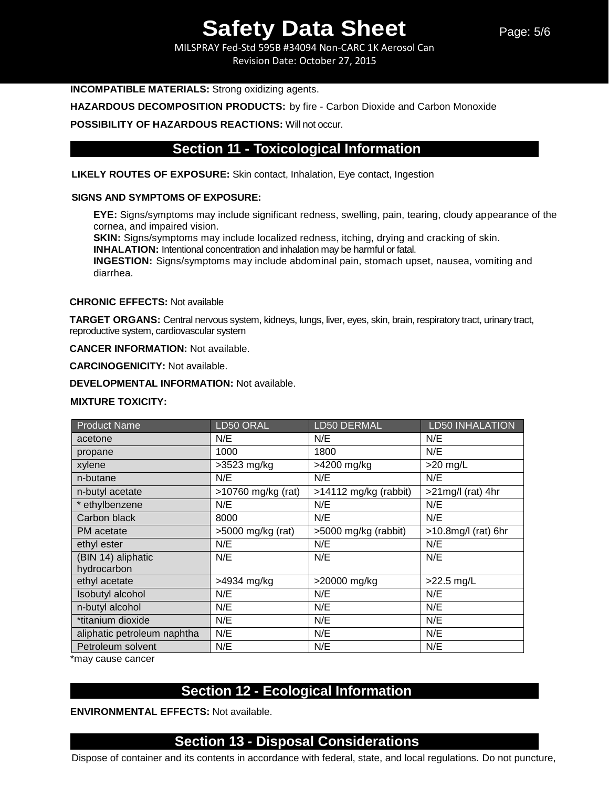MILSPRAY Fed-Std 595B #34094 Non-CARC 1K Aerosol Can Revision Date: October 27, 2015

### **INCOMPATIBLE MATERIALS:** Strong oxidizing agents.

**HAZARDOUS DECOMPOSITION PRODUCTS:** by fire - Carbon Dioxide and Carbon Monoxide

**POSSIBILITY OF HAZARDOUS REACTIONS:** Will not occur.

## **Section 11 - Toxicological Information**

**LIKELY ROUTES OF EXPOSURE:** Skin contact, Inhalation, Eye contact, Ingestion

### **SIGNS AND SYMPTOMS OF EXPOSURE:**

**EYE:** Signs/symptoms may include significant redness, swelling, pain, tearing, cloudy appearance of the cornea, and impaired vision.

**SKIN:** Signs/symptoms may include localized redness, itching, drying and cracking of skin.

**INHALATION:** Intentional concentration and inhalation may be harmful or fatal.

**INGESTION:** Signs/symptoms may include abdominal pain, stomach upset, nausea, vomiting and diarrhea.

### **CHRONIC EFFECTS:** Not available

**TARGET ORGANS:** Central nervous system, kidneys, lungs, liver, eyes, skin, brain, respiratory tract, urinary tract, reproductive system, cardiovascular system

**CANCER INFORMATION:** Not available.

**CARCINOGENICITY:** Not available.

**DEVELOPMENTAL INFORMATION:** Not available.

### **MIXTURE TOXICITY:**

| <b>Product Name</b>         | LD50 ORAL          | LD50 DERMAL             | <b>LD50 INHALATION</b> |
|-----------------------------|--------------------|-------------------------|------------------------|
| acetone                     | N/E                | N/E                     | N/E                    |
| propane                     | 1000               | 1800                    | N/E                    |
| xylene                      | $>3523$ mg/kg      | >4200 mg/kg             | $>20$ mg/L             |
| n-butane                    | N/E                | N/E                     | N/E                    |
| n-butyl acetate             | >10760 mg/kg (rat) | $>14112$ mg/kg (rabbit) | $>21$ mg/l (rat) 4hr   |
| * ethylbenzene              | N/E                | N/E                     | N/E                    |
| Carbon black                | 8000               | N/E                     | N/E                    |
| PM acetate                  | >5000 mg/kg (rat)  | >5000 mg/kg (rabbit)    | $>10.8$ mg/l (rat) 6hr |
| ethyl ester                 | N/E                | N/E                     | N/E                    |
| (BIN 14) aliphatic          | N/E                | N/E                     | N/E                    |
| hydrocarbon                 |                    |                         |                        |
| ethyl acetate               | >4934 mg/kg        | >20000 mg/kg            | $>22.5$ mg/L           |
| Isobutyl alcohol            | N/E                | N/E                     | N/E                    |
| n-butyl alcohol             | N/E                | N/E                     | N/E                    |
| *titanium dioxide           | N/E                | N/E                     | N/E                    |
| aliphatic petroleum naphtha | N/E                | N/E                     | N/E                    |
| Petroleum solvent           | N/E                | N/E                     | N/E                    |

\*may cause cancer

## **Section 12 - Ecological Information**

**ENVIRONMENTAL EFFECTS:** Not available.

## **Section 13 - Disposal Considerations**

Dispose of container and its contents in accordance with federal, state, and local regulations. Do not puncture,